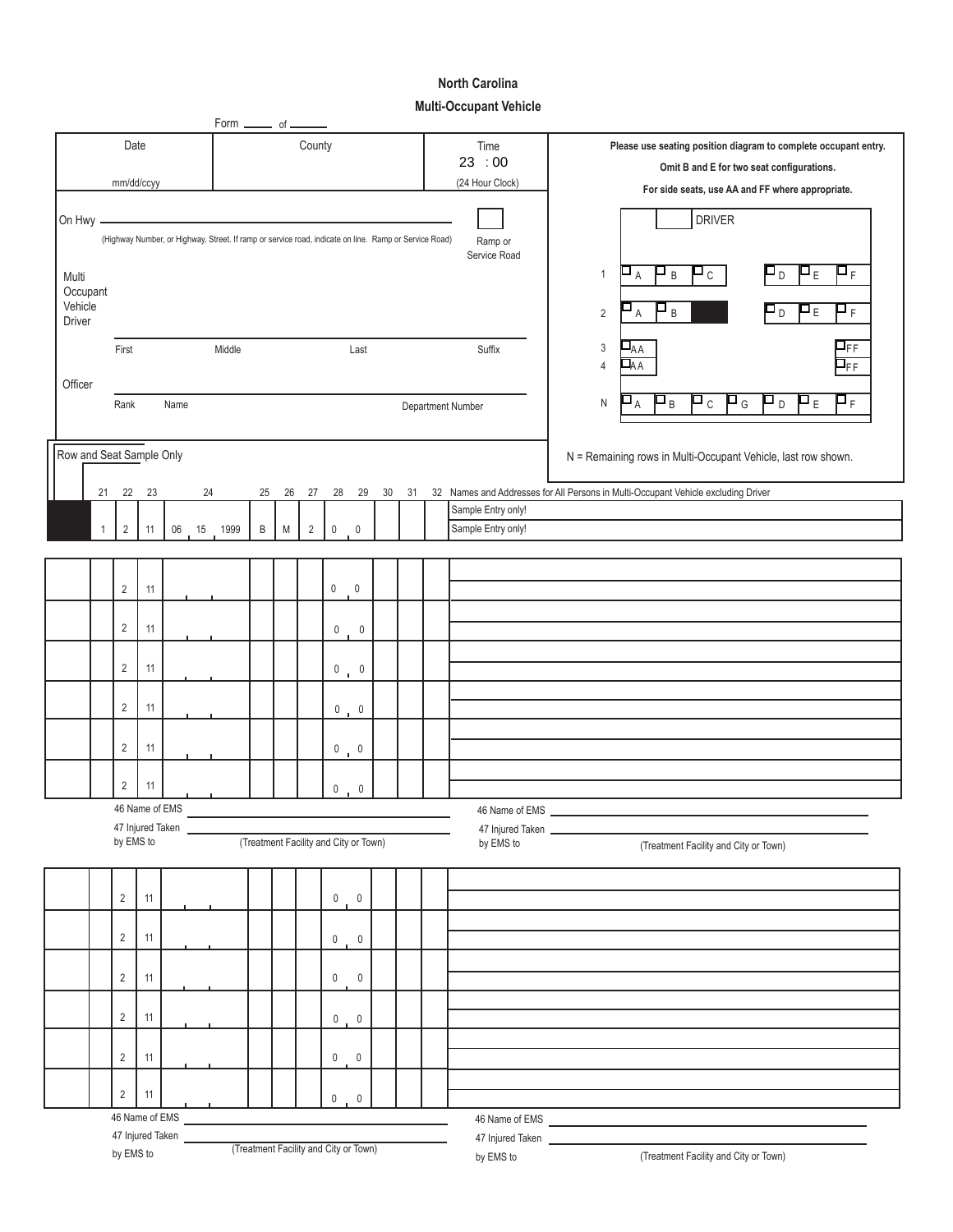## **North Carolina**

|                   |                          |                                   |                |                  |    | Form _______ of _                                                                                     |                                       |           |                |             |                                                                 |       |                                           |                                                               |                    |                                                                                                                                                      |
|-------------------|--------------------------|-----------------------------------|----------------|------------------|----|-------------------------------------------------------------------------------------------------------|---------------------------------------|-----------|----------------|-------------|-----------------------------------------------------------------|-------|-------------------------------------------|---------------------------------------------------------------|--------------------|------------------------------------------------------------------------------------------------------------------------------------------------------|
| Date<br>County    |                          |                                   |                |                  |    |                                                                                                       |                                       |           |                | Time        | Please use seating position diagram to complete occupant entry. |       |                                           |                                                               |                    |                                                                                                                                                      |
|                   |                          |                                   |                |                  |    |                                                                                                       |                                       |           |                |             |                                                                 | 23:00 | Omit B and E for two seat configurations. |                                                               |                    |                                                                                                                                                      |
| mm/dd/ccyy        |                          |                                   |                |                  |    |                                                                                                       |                                       |           |                |             |                                                                 |       | (24 Hour Clock)                           | For side seats, use AA and FF where appropriate.              |                    |                                                                                                                                                      |
| On Hwy -          |                          |                                   |                |                  |    |                                                                                                       |                                       |           |                |             |                                                                 |       |                                           |                                                               |                    | <b>DRIVER</b>                                                                                                                                        |
|                   |                          |                                   |                |                  |    | (Highway Number, or Highway, Street. If ramp or service road, indicate on line. Ramp or Service Road) |                                       |           |                |             |                                                                 |       |                                           |                                                               | Ramp or            |                                                                                                                                                      |
|                   |                          |                                   |                |                  |    |                                                                                                       |                                       |           |                |             |                                                                 |       |                                           |                                                               | Service Road       | ΡF<br>$\blacksquare_A$<br>$\blacksquare$<br>$\blacksquare$<br>$\mathbf{p}_{\varepsilon}$<br>⊔<br>$\mathbf{1}$<br>$\,$ B                              |
| Multi<br>Occupant |                          |                                   |                |                  |    |                                                                                                       |                                       |           |                |             |                                                                 |       |                                           |                                                               |                    |                                                                                                                                                      |
| Vehicle           |                          |                                   |                |                  |    |                                                                                                       |                                       |           |                |             |                                                                 |       |                                           |                                                               |                    | $\blacksquare$<br>$\mathsf{P}_{\mathsf{F}}$<br>Pр<br>Pε<br>$\overline{2}$<br>A                                                                       |
| Driver            |                          |                                   |                |                  |    |                                                                                                       |                                       |           |                |             |                                                                 |       |                                           |                                                               |                    |                                                                                                                                                      |
|                   |                          | First                             |                |                  |    | Middle                                                                                                |                                       |           |                |             | Last                                                            |       |                                           |                                                               | Suffix             | $\Pi_{\sf FF}$<br>$\bar{\mathbf{\mathsf{u}}}_{\mathsf{AA}}$<br>3<br>ЦΑΑ<br>$\mathsf{\Pi}_{\mathsf{FF}}$<br>4                                         |
| Officer           |                          |                                   |                |                  |    |                                                                                                       |                                       |           |                |             |                                                                 |       |                                           |                                                               |                    |                                                                                                                                                      |
|                   |                          | Rank<br>Name<br>Department Number |                |                  |    |                                                                                                       |                                       |           |                |             |                                                                 |       |                                           |                                                               |                    | $\mathsf{P}_\mathsf{F}$<br>$\mathbf{p}_D$<br>$\blacksquare$<br>$\mathbf{P}_{\mathsf{G}}$<br>$\mathbf{P}_{\mathsf{E}}$<br>$\Delta_{\rm A}$<br>Pв<br>N |
|                   |                          |                                   |                |                  |    |                                                                                                       |                                       |           |                |             |                                                                 |       |                                           |                                                               |                    |                                                                                                                                                      |
|                   | Row and Seat Sample Only |                                   |                |                  |    |                                                                                                       |                                       |           |                |             |                                                                 |       |                                           | N = Remaining rows in Multi-Occupant Vehicle, last row shown. |                    |                                                                                                                                                      |
|                   |                          |                                   |                |                  |    |                                                                                                       |                                       |           |                |             |                                                                 |       |                                           |                                                               |                    |                                                                                                                                                      |
|                   | 21                       | 22                                | 23             |                  | 24 |                                                                                                       | 25                                    | 26        | 27             | 28          | 29                                                              | 30    | 31                                        |                                                               |                    | 32 Names and Addresses for All Persons in Multi-Occupant Vehicle excluding Driver                                                                    |
|                   |                          |                                   |                |                  |    |                                                                                                       |                                       |           |                |             |                                                                 |       |                                           |                                                               | Sample Entry only! |                                                                                                                                                      |
|                   | $\mathbf{1}$             | $\overline{2}$                    | 11             | 06               |    | 15 1999                                                                                               | $\mathsf B$                           | ${\sf M}$ | $\overline{2}$ | $\mathbf 0$ | $\overline{0}$                                                  |       |                                           |                                                               | Sample Entry only! |                                                                                                                                                      |
|                   |                          |                                   |                |                  |    |                                                                                                       |                                       |           |                |             |                                                                 |       |                                           |                                                               |                    |                                                                                                                                                      |
|                   |                          | $\overline{2}$                    | 11             |                  |    |                                                                                                       |                                       |           |                | $\mathbf 0$ | $\overline{\phantom{0}}$                                        |       |                                           |                                                               |                    |                                                                                                                                                      |
|                   |                          |                                   |                |                  |    |                                                                                                       |                                       |           |                |             |                                                                 |       |                                           |                                                               |                    |                                                                                                                                                      |
|                   |                          | $\overline{2}$                    | 11             |                  |    |                                                                                                       |                                       |           |                | 0           | $\pmb{0}$                                                       |       |                                           |                                                               |                    |                                                                                                                                                      |
|                   |                          |                                   |                |                  |    |                                                                                                       |                                       |           |                |             |                                                                 |       |                                           |                                                               |                    |                                                                                                                                                      |
|                   |                          | $\overline{2}$                    | 11             |                  |    |                                                                                                       |                                       |           |                |             | $\begin{matrix} 0 & 0 \\ 0 & 0 \end{matrix}$                    |       |                                           |                                                               |                    |                                                                                                                                                      |
|                   |                          | $\overline{2}$                    | 11             |                  |    |                                                                                                       |                                       |           |                |             |                                                                 |       |                                           |                                                               |                    |                                                                                                                                                      |
|                   |                          |                                   |                |                  |    |                                                                                                       |                                       |           |                |             | $0 \t 0$                                                        |       |                                           |                                                               |                    |                                                                                                                                                      |
|                   |                          | $\overline{2}$                    | 11             |                  |    |                                                                                                       |                                       |           |                |             | $0 \t 0$                                                        |       |                                           |                                                               |                    |                                                                                                                                                      |
|                   |                          |                                   |                |                  |    |                                                                                                       |                                       |           |                |             |                                                                 |       |                                           |                                                               |                    |                                                                                                                                                      |
|                   |                          | $\overline{2}$                    | 11             |                  |    |                                                                                                       |                                       |           |                |             | $0 \t 0$                                                        |       |                                           |                                                               |                    |                                                                                                                                                      |
|                   |                          |                                   | 46 Name of EMS |                  |    |                                                                                                       |                                       |           |                |             |                                                                 |       |                                           |                                                               | 46 Name of EMS     |                                                                                                                                                      |
|                   |                          | by EMS to                         |                | 47 Injured Taken |    |                                                                                                       | (Treatment Facility and City or Town) |           |                |             |                                                                 |       |                                           |                                                               | by EMS to          | 47 Injured Taken<br>(Treatment Facility and City or Town)                                                                                            |
|                   |                          |                                   |                |                  |    |                                                                                                       |                                       |           |                |             |                                                                 |       |                                           |                                                               |                    |                                                                                                                                                      |
|                   |                          |                                   |                |                  |    |                                                                                                       |                                       |           |                |             |                                                                 |       |                                           |                                                               |                    |                                                                                                                                                      |
|                   |                          | $\overline{2}$                    | 11             |                  |    |                                                                                                       |                                       |           |                |             | $0 \t 0$                                                        |       |                                           |                                                               |                    |                                                                                                                                                      |
|                   |                          | $\overline{2}$                    | 11             |                  |    |                                                                                                       |                                       |           |                |             |                                                                 |       |                                           |                                                               |                    |                                                                                                                                                      |
|                   |                          |                                   |                |                  |    |                                                                                                       |                                       |           |                |             | $0 \t 0$                                                        |       |                                           |                                                               |                    |                                                                                                                                                      |
|                   |                          | $\overline{2}$                    | 11             |                  |    |                                                                                                       |                                       |           |                |             | $0\qquad 0$                                                     |       |                                           |                                                               |                    |                                                                                                                                                      |
|                   |                          |                                   |                |                  |    |                                                                                                       |                                       |           |                |             |                                                                 |       |                                           |                                                               |                    |                                                                                                                                                      |
|                   |                          | $\overline{2}$                    | 11             |                  |    |                                                                                                       |                                       |           |                |             | $0 \t 0$                                                        |       |                                           |                                                               |                    |                                                                                                                                                      |
|                   |                          |                                   |                |                  |    |                                                                                                       |                                       |           |                |             |                                                                 |       |                                           |                                                               |                    |                                                                                                                                                      |
|                   |                          | $\overline{2}$                    | 11             |                  |    |                                                                                                       |                                       |           |                |             | $0 \t 0$                                                        |       |                                           |                                                               |                    |                                                                                                                                                      |
|                   |                          | $\overline{2}$                    | 11             |                  |    |                                                                                                       |                                       |           |                |             |                                                                 |       |                                           |                                                               |                    |                                                                                                                                                      |
|                   |                          |                                   |                | 46 Name of EMS   |    |                                                                                                       |                                       |           |                | $0 \t 0$    |                                                                 |       |                                           |                                                               |                    | 46 Name of EMS Name of EMS                                                                                                                           |
|                   |                          |                                   |                | 47 Injured Taken |    |                                                                                                       |                                       |           |                |             |                                                                 |       |                                           |                                                               |                    | 47 Injured Taken                                                                                                                                     |
|                   |                          | by EMS to                         |                |                  |    |                                                                                                       | (Treatment Facility and City or Town) |           |                |             |                                                                 |       |                                           |                                                               | by EMS to          | (Treatment Facility and City or Town)                                                                                                                |